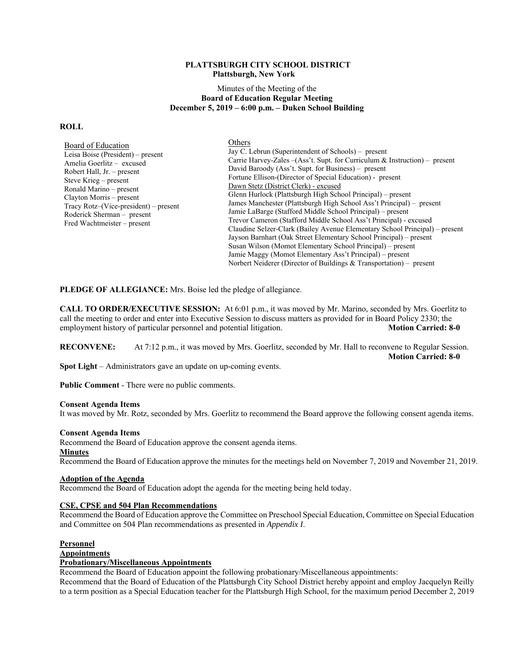### **PLATTSBURGH CITY SCHOOL DISTRICT Plattsburgh, New York**

### Minutes of the Meeting of the **Board of Education Regular Meeting December 5, 2019 – 6:00 p.m. – Duken School Building**

#### **ROLL**

| Board of Education<br>Leisa Boise (President) – present<br>Amelia Goerlitz – excused<br>Robert Hall, $Jr = present$<br>Steve Krieg $-$ present<br>Ronald Marino - present<br>Clayton Morris – present<br>Tracy Rotz-(Vice-president) – present<br>Roderick Sherman – present<br>Fred Wachtmeister – present | Others                                                                                                                                                        |  |  |
|-------------------------------------------------------------------------------------------------------------------------------------------------------------------------------------------------------------------------------------------------------------------------------------------------------------|---------------------------------------------------------------------------------------------------------------------------------------------------------------|--|--|
|                                                                                                                                                                                                                                                                                                             | Jay C. Lebrun (Superintendent of Schools) – present<br>Carrie Harvey-Zales $-(\text{Ass}^{\cdot}t \cdot \text{Supt.}$ for Curriculum & Instruction) – present |  |  |
|                                                                                                                                                                                                                                                                                                             |                                                                                                                                                               |  |  |
|                                                                                                                                                                                                                                                                                                             | Fortune Ellison-(Director of Special Education) - present                                                                                                     |  |  |
|                                                                                                                                                                                                                                                                                                             | Dawn Stetz (District Clerk) - excused                                                                                                                         |  |  |
|                                                                                                                                                                                                                                                                                                             | Glenn Hurlock (Plattsburgh High School Principal) – present                                                                                                   |  |  |
|                                                                                                                                                                                                                                                                                                             | James Manchester (Plattsburgh High School Ass't Principal) – present                                                                                          |  |  |
|                                                                                                                                                                                                                                                                                                             | Jamie LaBarge (Stafford Middle School Principal) – present                                                                                                    |  |  |
|                                                                                                                                                                                                                                                                                                             | Trevor Cameron (Stafford Middle School Ass't Principal) - excused                                                                                             |  |  |
|                                                                                                                                                                                                                                                                                                             | Claudine Selzer-Clark (Bailey Avenue Elementary School Principal) – present                                                                                   |  |  |
|                                                                                                                                                                                                                                                                                                             | Jayson Barnhart (Oak Street Elementary School Principal) – present                                                                                            |  |  |
|                                                                                                                                                                                                                                                                                                             | Susan Wilson (Momot Elementary School Principal) – present                                                                                                    |  |  |
|                                                                                                                                                                                                                                                                                                             | Jamie Maggy (Momot Elementary Ass't Principal) – present                                                                                                      |  |  |
|                                                                                                                                                                                                                                                                                                             | Norbert Neiderer (Director of Buildings & Transportation) – present                                                                                           |  |  |

**PLEDGE OF ALLEGIANCE:** Mrs. Boise led the pledge of allegiance.

**CALL TO ORDER/EXECUTIVE SESSION:** At 6:01 p.m., it was moved by Mr. Marino, seconded by Mrs. Goerlitz to call the meeting to order and enter into Executive Session to discuss matters as provided for in Board Policy 2330; the employment history of particular personnel and potential litigation. **Motion Carried: 8-0** 

**RECONVENE:** At 7:12 p.m., it was moved by Mrs. Goerlitz, seconded by Mr. Hall to reconvene to Regular Session.  **Motion Carried: 8-0** 

**Spot Light** – Administrators gave an update on up-coming events.

**Public Comment** - There were no public comments.

### **Consent Agenda Items**

It was moved by Mr. Rotz, seconded by Mrs. Goerlitz to recommend the Board approve the following consent agenda items.

### **Consent Agenda Items**

Recommend the Board of Education approve the consent agenda items.

### **Minutes**

Recommend the Board of Education approve the minutes for the meetings held on November 7, 2019 and November 21, 2019.

### **Adoption of the Agenda**

Recommend the Board of Education adopt the agenda for the meeting being held today.

### **CSE, CPSE and 504 Plan Recommendations**

Recommend the Board of Education approve the Committee on Preschool Special Education, Committee on Special Education and Committee on 504 Plan recommendations as presented in *Appendix I*.

### **Personnel**

**Appointments** 

### **Probationary/Miscellaneous Appointments**

Recommend the Board of Education appoint the following probationary/Miscellaneous appointments:

Recommend that the Board of Education of the Plattsburgh City School District hereby appoint and employ Jacquelyn Reilly to a term position as a Special Education teacher for the Plattsburgh High School, for the maximum period December 2, 2019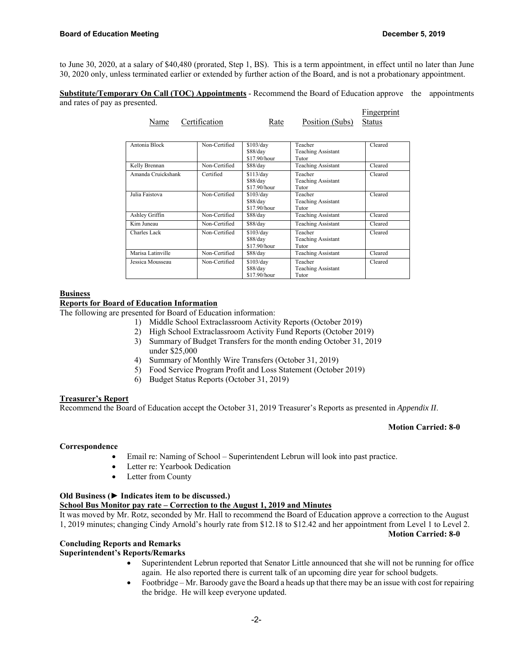to June 30, 2020, at a salary of \$40,480 (prorated, Step 1, BS). This is a term appointment, in effect until no later than June 30, 2020 only, unless terminated earlier or extended by further action of the Board, and is not a probationary appointment.

**Substitute/Temporary On Call (TOC) Appointments** - Recommend the Board of Education approve the appointments and rates of pay as presented.

| Name               | Certification | Rate                                  | Position (Subs)                               | <b>Fingerprint</b><br><b>Status</b> |
|--------------------|---------------|---------------------------------------|-----------------------------------------------|-------------------------------------|
| Antonia Block      | Non-Certified | \$103/day<br>\$88/day<br>\$17.90/hour | Teacher<br><b>Teaching Assistant</b><br>Tutor | Cleared                             |
| Kelly Brennan      | Non-Certified | \$88/day                              | <b>Teaching Assistant</b>                     | Cleared                             |
| Amanda Cruickshank | Certified     | \$113/day<br>\$88/day<br>\$17.90/hour | Teacher<br><b>Teaching Assistant</b><br>Tutor | Cleared                             |
| Julia Faistova     | Non-Certified | \$103/day<br>\$88/day<br>\$17.90/hour | Teacher<br><b>Teaching Assistant</b><br>Tutor | Cleared                             |
| Ashley Griffin     | Non-Certified | \$88/day                              | <b>Teaching Assistant</b>                     | Cleared                             |
| Kim Juneau         | Non-Certified | \$88/day                              | <b>Teaching Assistant</b>                     | Cleared                             |
| Charles Lack       | Non-Certified | \$103/day<br>\$88/day<br>\$17.90/hour | Teacher<br><b>Teaching Assistant</b><br>Tutor | Cleared                             |
| Marisa Latinville  | Non-Certified | \$88/day                              | <b>Teaching Assistant</b>                     | Cleared                             |
| Jessica Mousseau   | Non-Certified | \$103/day<br>\$88/day<br>\$17.90/hour | Teacher<br><b>Teaching Assistant</b><br>Tutor | Cleared                             |

### **Business**

### **Reports for Board of Education Information**

The following are presented for Board of Education information:

- 1) Middle School Extraclassroom Activity Reports (October 2019)
- 2) High School Extraclassroom Activity Fund Reports (October 2019)
- 3) Summary of Budget Transfers for the month ending October 31, 2019 under \$25,000
- 4) Summary of Monthly Wire Transfers (October 31, 2019)
- 5) Food Service Program Profit and Loss Statement (October 2019)
- 6) Budget Status Reports (October 31, 2019)

# **Treasurer's Report**

Recommend the Board of Education accept the October 31, 2019 Treasurer's Reports as presented in *Appendix II*.

# **Motion Carried: 8-0**

**Motion Carried: 8-0** 

### **Correspondence**

- Email re: Naming of School Superintendent Lebrun will look into past practice.
- Letter re: Yearbook Dedication
- Letter from County

# **Old Business (► Indicates item to be discussed.)**

# **School Bus Monitor pay rate – Correction to the August 1, 2019 and Minutes**

It was moved by Mr. Rotz, seconded by Mr. Hall to recommend the Board of Education approve a correction to the August 1, 2019 minutes; changing Cindy Arnold's hourly rate from \$12.18 to \$12.42 and her appointment from Level 1 to Level 2.

### **Concluding Reports and Remarks**

# **Superintendent's Reports/Remarks**

- Superintendent Lebrun reported that Senator Little announced that she will not be running for office again. He also reported there is current talk of an upcoming dire year for school budgets.
- Footbridge Mr. Baroody gave the Board a heads up that there may be an issue with cost for repairing the bridge. He will keep everyone updated.